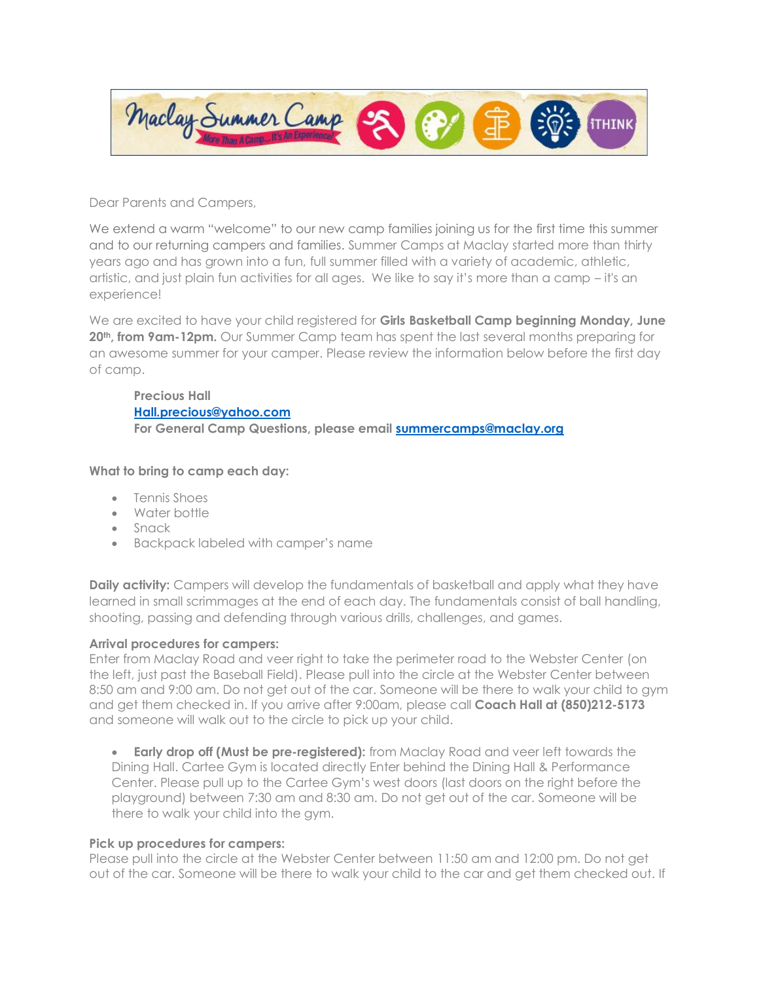

Dear Parents and Campers,

We extend a warm "welcome" to our new camp families joining us for the first time this summer and to our returning campers and families. Summer Camps at Maclay started more than thirty years ago and has grown into a fun, full summer filled with a variety of academic, athletic, artistic, and just plain fun activities for all ages. We like to say it's more than a camp – it's an experience!

We are excited to have your child registered for **Girls Basketball Camp beginning Monday, June 20th, from 9am-12pm.** Our Summer Camp team has spent the last several months preparing for an awesome summer for your camper. Please review the information below before the first day of camp.

## **Precious Hall [Hall.precious@yahoo.com](mailto:Hall.precious@yahoo.com) For General Camp Questions, please email [summercamps@maclay.org](mailto:summercamps@maclay.org)**

# **What to bring to camp each day:**

- Tennis Shoes
- Water bottle
- Snack
- Backpack labeled with camper's name

**Daily activity:** Campers will develop the fundamentals of basketball and apply what they have learned in small scrimmages at the end of each day. The fundamentals consist of ball handling, shooting, passing and defending through various drills, challenges, and games.

## **Arrival procedures for campers:**

Enter from Maclay Road and veer right to take the perimeter road to the Webster Center (on the left, just past the Baseball Field). Please pull into the circle at the Webster Center between 8:50 am and 9:00 am. Do not get out of the car. Someone will be there to walk your child to gym and get them checked in. If you arrive after 9:00am, please call **Coach Hall at (850)212-5173** and someone will walk out to the circle to pick up your child.

• **Early drop off (Must be pre-registered):** from Maclay Road and veer left towards the Dining Hall. Cartee Gym is located directly Enter behind the Dining Hall & Performance Center. Please pull up to the Cartee Gym's west doors (last doors on the right before the playground) between 7:30 am and 8:30 am. Do not get out of the car. Someone will be there to walk your child into the gym.

## **Pick up procedures for campers:**

Please pull into the circle at the Webster Center between 11:50 am and 12:00 pm. Do not get out of the car. Someone will be there to walk your child to the car and get them checked out. If